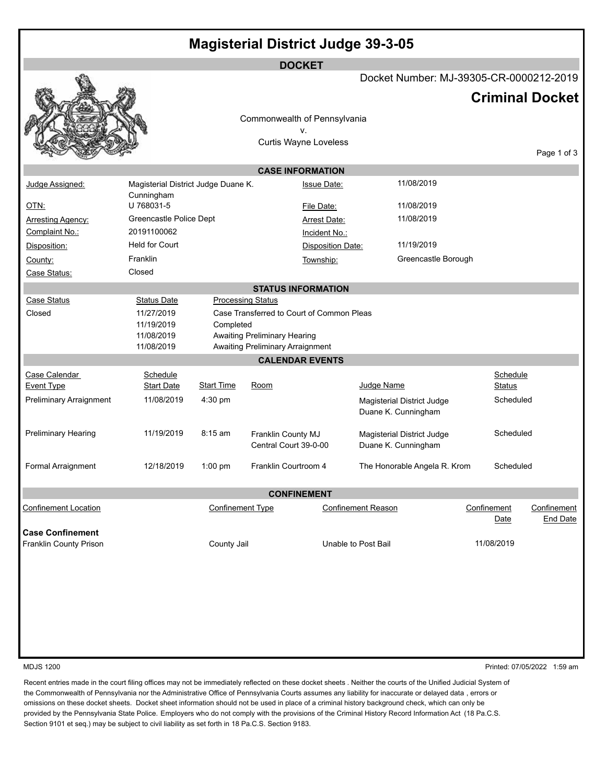|                                |                                        |                         |                                             | <b>DOCKET</b>                             |                                                   |                     |                         |
|--------------------------------|----------------------------------------|-------------------------|---------------------------------------------|-------------------------------------------|---------------------------------------------------|---------------------|-------------------------|
|                                |                                        |                         |                                             |                                           | Docket Number: MJ-39305-CR-0000212-2019           |                     |                         |
|                                |                                        |                         |                                             |                                           |                                                   |                     | <b>Criminal Docket</b>  |
|                                |                                        |                         |                                             | Commonwealth of Pennsylvania              |                                                   |                     |                         |
|                                |                                        |                         |                                             | v.                                        |                                                   |                     |                         |
|                                |                                        |                         |                                             | <b>Curtis Wayne Loveless</b>              |                                                   |                     |                         |
|                                |                                        |                         |                                             |                                           |                                                   |                     | Page 1 of 3             |
|                                |                                        |                         |                                             | <b>CASE INFORMATION</b>                   |                                                   |                     |                         |
| Judge Assigned:                | Magisterial District Judge Duane K.    |                         |                                             | <b>Issue Date:</b>                        | 11/08/2019                                        |                     |                         |
|                                | Cunningham<br>U 768031-5               |                         |                                             |                                           |                                                   |                     |                         |
| <b>OTN:</b>                    |                                        |                         |                                             | File Date:                                | 11/08/2019<br>11/08/2019                          |                     |                         |
| Arresting Agency:              | Greencastle Police Dept<br>20191100062 |                         |                                             | Arrest Date:                              |                                                   |                     |                         |
| Complaint No.:                 | <b>Held for Court</b>                  |                         |                                             | Incident No.:                             | 11/19/2019                                        |                     |                         |
| Disposition:                   |                                        |                         |                                             | Disposition Date:                         |                                                   |                     |                         |
| County:                        | Franklin                               |                         |                                             | Township:                                 | Greencastle Borough                               |                     |                         |
| Case Status:                   | Closed                                 |                         |                                             |                                           |                                                   |                     |                         |
|                                |                                        |                         |                                             | <b>STATUS INFORMATION</b>                 |                                                   |                     |                         |
| <b>Case Status</b>             | <b>Status Date</b>                     |                         | <b>Processing Status</b>                    |                                           |                                                   |                     |                         |
| Closed                         | 11/27/2019<br>11/19/2019               | Completed               |                                             | Case Transferred to Court of Common Pleas |                                                   |                     |                         |
|                                | 11/08/2019                             |                         | Awaiting Preliminary Hearing                |                                           |                                                   |                     |                         |
|                                | 11/08/2019                             |                         | Awaiting Preliminary Arraignment            |                                           |                                                   |                     |                         |
|                                |                                        |                         |                                             | <b>CALENDAR EVENTS</b>                    |                                                   |                     |                         |
| Case Calendar                  | Schedule                               |                         |                                             |                                           |                                                   | Schedule            |                         |
| <b>Event Type</b>              | <b>Start Date</b>                      | <b>Start Time</b>       | Room                                        |                                           | Judge Name                                        | <b>Status</b>       |                         |
| <b>Preliminary Arraignment</b> | 11/08/2019                             | 4:30 pm                 |                                             |                                           | Magisterial District Judge                        | Scheduled           |                         |
|                                |                                        |                         |                                             |                                           | Duane K. Cunningham                               |                     |                         |
| <b>Preliminary Hearing</b>     | 11/19/2019                             | 8:15 am                 |                                             |                                           |                                                   | Scheduled           |                         |
|                                |                                        |                         | Franklin County MJ<br>Central Court 39-0-00 |                                           | Magisterial District Judge<br>Duane K. Cunningham |                     |                         |
|                                |                                        |                         |                                             |                                           |                                                   |                     |                         |
| Formal Arraignment             | 12/18/2019                             | $1:00$ pm               | Franklin Courtroom 4                        |                                           | The Honorable Angela R. Krom                      | Scheduled           |                         |
|                                |                                        |                         |                                             |                                           |                                                   |                     |                         |
|                                |                                        |                         |                                             | <b>CONFINEMENT</b>                        |                                                   |                     |                         |
| <b>Confinement Location</b>    |                                        | <b>Confinement Type</b> |                                             |                                           | <b>Confinement Reason</b>                         | Confinement<br>Date | Confinement<br>End Date |
| <b>Case Confinement</b>        |                                        |                         |                                             |                                           |                                                   |                     |                         |
| Franklin County Prison         |                                        | County Jail             |                                             |                                           | Unable to Post Bail                               | 11/08/2019          |                         |
|                                |                                        |                         |                                             |                                           |                                                   |                     |                         |
|                                |                                        |                         |                                             |                                           |                                                   |                     |                         |
|                                |                                        |                         |                                             |                                           |                                                   |                     |                         |
|                                |                                        |                         |                                             |                                           |                                                   |                     |                         |
|                                |                                        |                         |                                             |                                           |                                                   |                     |                         |

MDJS 1200 Printed: 07/05/2022 1:59 am

Recent entries made in the court filing offices may not be immediately reflected on these docket sheets . Neither the courts of the Unified Judicial System of the Commonwealth of Pennsylvania nor the Administrative Office of Pennsylvania Courts assumes any liability for inaccurate or delayed data , errors or omissions on these docket sheets. Docket sheet information should not be used in place of a criminal history background check, which can only be provided by the Pennsylvania State Police. Employers who do not comply with the provisions of the Criminal History Record Information Act (18 Pa.C.S. Section 9101 et seq.) may be subject to civil liability as set forth in 18 Pa.C.S. Section 9183.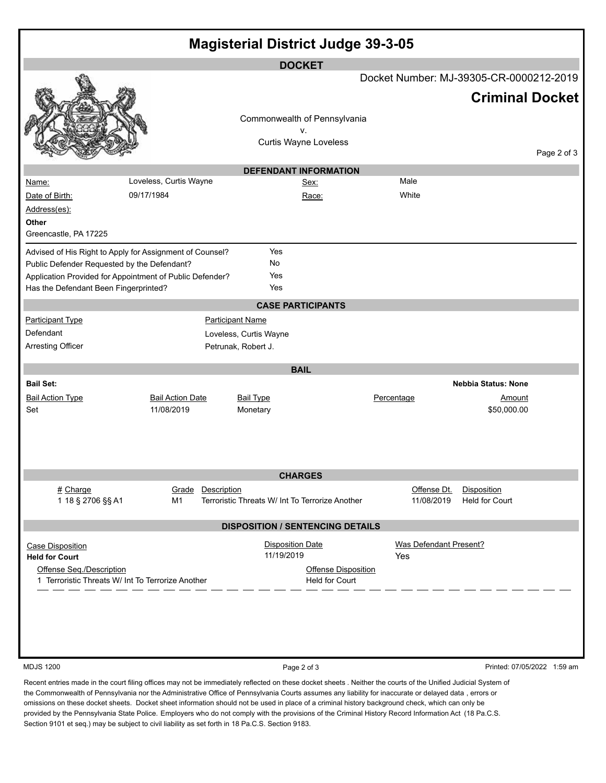| <b>Magisterial District Judge 39-3-05</b>                                                                                                                                                                    |                                       |                                                                                                                      |                                              |                                                 |                                                     |             |
|--------------------------------------------------------------------------------------------------------------------------------------------------------------------------------------------------------------|---------------------------------------|----------------------------------------------------------------------------------------------------------------------|----------------------------------------------|-------------------------------------------------|-----------------------------------------------------|-------------|
| Name:                                                                                                                                                                                                        | Loveless, Curtis Wayne                | <b>DOCKET</b><br>Commonwealth of Pennsylvania<br>v.<br>Curtis Wayne Loveless<br><b>DEFENDANT INFORMATION</b><br>Sex: |                                              | Docket Number: MJ-39305-CR-0000212-2019<br>Male | <b>Criminal Docket</b>                              | Page 2 of 3 |
| Date of Birth:<br>Address(es):<br>Other<br>Greencastle, PA 17225                                                                                                                                             | 09/17/1984                            |                                                                                                                      | Race:                                        | White                                           |                                                     |             |
| Advised of His Right to Apply for Assignment of Counsel?<br>Public Defender Requested by the Defendant?<br>Application Provided for Appointment of Public Defender?<br>Has the Defendant Been Fingerprinted? |                                       | Yes<br>No<br>Yes<br>Yes<br><b>CASE PARTICIPANTS</b>                                                                  |                                              |                                                 |                                                     |             |
| <b>Participant Type</b><br>Defendant<br>Arresting Officer                                                                                                                                                    |                                       | <b>Participant Name</b><br>Loveless, Curtis Wayne<br>Petrunak, Robert J.                                             |                                              |                                                 |                                                     |             |
| <b>BAIL</b>                                                                                                                                                                                                  |                                       |                                                                                                                      |                                              |                                                 |                                                     |             |
| <b>Bail Set:</b><br><b>Bail Action Type</b><br>Set                                                                                                                                                           | <b>Bail Action Date</b><br>11/08/2019 | <b>Bail Type</b><br>Monetary                                                                                         |                                              | Percentage                                      | <b>Nebbia Status: None</b><br>Amount<br>\$50,000.00 |             |
|                                                                                                                                                                                                              |                                       | <b>CHARGES</b>                                                                                                       |                                              |                                                 |                                                     |             |
| # Charge<br>1 18 § 2706 §§ A1                                                                                                                                                                                | Grade Description<br>M1               | Terroristic Threats W/ Int To Terrorize Another                                                                      |                                              | Offense Dt.<br>11/08/2019                       | <b>Disposition</b><br><b>Held for Court</b>         |             |
| <b>DISPOSITION / SENTENCING DETAILS</b>                                                                                                                                                                      |                                       |                                                                                                                      |                                              |                                                 |                                                     |             |
| <b>Case Disposition</b><br><b>Held for Court</b><br>Offense Seq./Description<br>1 Terroristic Threats W/ Int To Terrorize Another                                                                            |                                       | <b>Disposition Date</b><br>11/19/2019                                                                                | <b>Offense Disposition</b><br>Held for Court | Was Defendant Present?<br>Yes                   |                                                     |             |
| <b>MDJS 1200</b>                                                                                                                                                                                             |                                       | Page 2 of 3                                                                                                          |                                              |                                                 | Printed: 07/05/2022 1:59 am                         |             |

Recent entries made in the court filing offices may not be immediately reflected on these docket sheets . Neither the courts of the Unified Judicial System of the Commonwealth of Pennsylvania nor the Administrative Office of Pennsylvania Courts assumes any liability for inaccurate or delayed data , errors or omissions on these docket sheets. Docket sheet information should not be used in place of a criminal history background check, which can only be provided by the Pennsylvania State Police. Employers who do not comply with the provisions of the Criminal History Record Information Act (18 Pa.C.S. Section 9101 et seq.) may be subject to civil liability as set forth in 18 Pa.C.S. Section 9183.